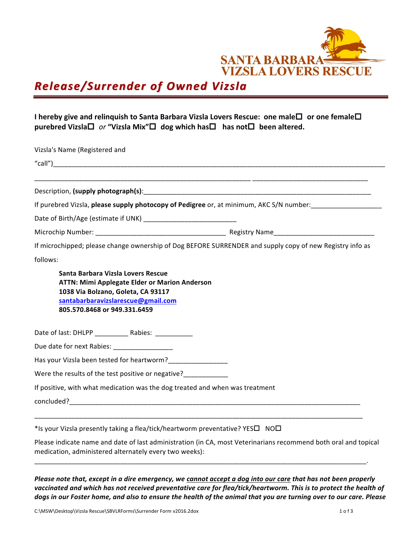

## *Release/Surrender of Owned Vizsla Release/Surrender of Owned Vizsla*

## **I** hereby give and relinquish to Santa Barbara Vizsla Lovers Rescue: one male□ or one female□ **purebred Vizsla** $\Box$  *or* "Vizsla Mix" $\Box$  dog which has $\Box$  has not $\Box$  been altered.

| Vizsla's Name (Registered and                                                                                                                                                                                                                                                                 |                                                                                                          |
|-----------------------------------------------------------------------------------------------------------------------------------------------------------------------------------------------------------------------------------------------------------------------------------------------|----------------------------------------------------------------------------------------------------------|
|                                                                                                                                                                                                                                                                                               |                                                                                                          |
|                                                                                                                                                                                                                                                                                               |                                                                                                          |
|                                                                                                                                                                                                                                                                                               |                                                                                                          |
|                                                                                                                                                                                                                                                                                               | If purebred Vizsla, please supply photocopy of Pedigree or, at minimum, AKC S/N number:                  |
|                                                                                                                                                                                                                                                                                               |                                                                                                          |
|                                                                                                                                                                                                                                                                                               |                                                                                                          |
|                                                                                                                                                                                                                                                                                               | If microchipped; please change ownership of Dog BEFORE SURRENDER and supply copy of new Registry info as |
| follows:                                                                                                                                                                                                                                                                                      |                                                                                                          |
| Santa Barbara Vizsla Lovers Rescue<br><b>ATTN: Mimi Applegate Elder or Marion Anderson</b>                                                                                                                                                                                                    |                                                                                                          |
| 1038 Via Bolzano, Goleta, CA 93117<br>santabarbaravizslarescue@gmail.com<br>805.570.8468 or 949.331.6459                                                                                                                                                                                      |                                                                                                          |
|                                                                                                                                                                                                                                                                                               |                                                                                                          |
|                                                                                                                                                                                                                                                                                               |                                                                                                          |
|                                                                                                                                                                                                                                                                                               |                                                                                                          |
|                                                                                                                                                                                                                                                                                               |                                                                                                          |
| Date of last: DHLPP _______________ Rabies: _____________<br>Due date for next Rabies: __________________<br>Has your Vizsla been tested for heartworm?<br>Were the results of the test positive or negative?<br>If positive, with what medication was the dog treated and when was treatment |                                                                                                          |

\*Is your Vizsla presently taking a flea/tick/heartworm preventative? YES $\square$  NO $\square$ 

Please indicate name and date of last administration (in CA, most Veterinarians recommend both oral and topical medication, administered alternately every two weeks):

\_\_\_\_\_\_\_\_\_\_\_\_\_\_\_\_\_\_\_\_\_\_\_\_\_\_\_\_\_\_\_\_\_\_\_\_\_\_\_\_\_\_\_\_\_\_\_\_\_\_\_\_\_\_\_\_\_\_\_\_\_\_\_\_\_\_\_\_\_\_\_\_\_\_\_\_\_\_\_\_\_\_\_\_\_\_\_\_\_. 

*Please note that, except in a dire emergency, we cannot accept a dog into our care that has not been properly* vaccinated and which has not received preventative care for flea/tick/heartworm. This is to protect the health of dogs in our Foster home, and also to ensure the health of the animal that you are turning over to our care. Please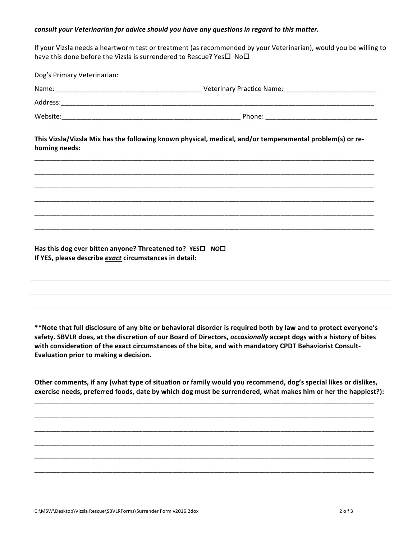## *consult your Veterinarian for advice should you have any questions in regard to this matter.*

If your Vizsla needs a heartworm test or treatment (as recommended by your Veterinarian), would you be willing to have this done before the Vizsla is surrendered to Rescue? Yes $\square$  No $\square$ 

| Dog's Primary Veterinarian:                              |                                                                                                          |
|----------------------------------------------------------|----------------------------------------------------------------------------------------------------------|
|                                                          |                                                                                                          |
|                                                          |                                                                                                          |
|                                                          |                                                                                                          |
| homing needs:                                            | This Vizsla/Vizsla Mix has the following known physical, medical, and/or temperamental problem(s) or re- |
|                                                          | <u> 1990 - Jan Jan James, Amerikaansk politiker (d. 1980)</u>                                            |
|                                                          |                                                                                                          |
|                                                          |                                                                                                          |
|                                                          |                                                                                                          |
|                                                          |                                                                                                          |
| Has this dog ever bitten anyone? Threatened to? YESO NOO |                                                                                                          |

\*\*Note that full disclosure of any bite or behavioral disorder is required both by law and to protect everyone's safety. SBVLR does, at the discretion of our Board of Directors, *occasionally* accept dogs with a history of bites with consideration of the exact circumstances of the bite, and with mandatory CPDT Behaviorist Consult-Evaluation prior to making a decision.

Other comments, if any (what type of situation or family would you recommend, dog's special likes or dislikes, exercise needs, preferred foods, date by which dog must be surrendered, what makes him or her the happiest?):

\_\_\_\_\_\_\_\_\_\_\_\_\_\_\_\_\_\_\_\_\_\_\_\_\_\_\_\_\_\_\_\_\_\_\_\_\_\_\_\_\_\_\_\_\_\_\_\_\_\_\_\_\_\_\_\_\_\_\_\_\_\_\_\_\_\_\_\_\_\_\_\_\_\_\_\_\_\_\_\_\_\_\_\_\_\_\_\_\_\_\_

\_\_\_\_\_\_\_\_\_\_\_\_\_\_\_\_\_\_\_\_\_\_\_\_\_\_\_\_\_\_\_\_\_\_\_\_\_\_\_\_\_\_\_\_\_\_\_\_\_\_\_\_\_\_\_\_\_\_\_\_\_\_\_\_\_\_\_\_\_\_\_\_\_\_\_\_\_\_\_\_\_\_\_\_\_\_\_\_\_\_\_

\_\_\_\_\_\_\_\_\_\_\_\_\_\_\_\_\_\_\_\_\_\_\_\_\_\_\_\_\_\_\_\_\_\_\_\_\_\_\_\_\_\_\_\_\_\_\_\_\_\_\_\_\_\_\_\_\_\_\_\_\_\_\_\_\_\_\_\_\_\_\_\_\_\_\_\_\_\_\_\_\_\_\_\_\_\_\_\_\_\_\_ 

\_\_\_\_\_\_\_\_\_\_\_\_\_\_\_\_\_\_\_\_\_\_\_\_\_\_\_\_\_\_\_\_\_\_\_\_\_\_\_\_\_\_\_\_\_\_\_\_\_\_\_\_\_\_\_\_\_\_\_\_\_\_\_\_\_\_\_\_\_\_\_\_\_\_\_\_\_\_\_\_\_\_\_\_\_\_\_\_\_\_\_

\_\_\_\_\_\_\_\_\_\_\_\_\_\_\_\_\_\_\_\_\_\_\_\_\_\_\_\_\_\_\_\_\_\_\_\_\_\_\_\_\_\_\_\_\_\_\_\_\_\_\_\_\_\_\_\_\_\_\_\_\_\_\_\_\_\_\_\_\_\_\_\_\_\_\_\_\_\_\_\_\_\_\_\_\_\_\_\_\_\_\_

\_\_\_\_\_\_\_\_\_\_\_\_\_\_\_\_\_\_\_\_\_\_\_\_\_\_\_\_\_\_\_\_\_\_\_\_\_\_\_\_\_\_\_\_\_\_\_\_\_\_\_\_\_\_\_\_\_\_\_\_\_\_\_\_\_\_\_\_\_\_\_\_\_\_\_\_\_\_\_\_\_\_\_\_\_\_\_\_\_\_\_

**If YES, please describe** *exact* **circumstances in detail:**